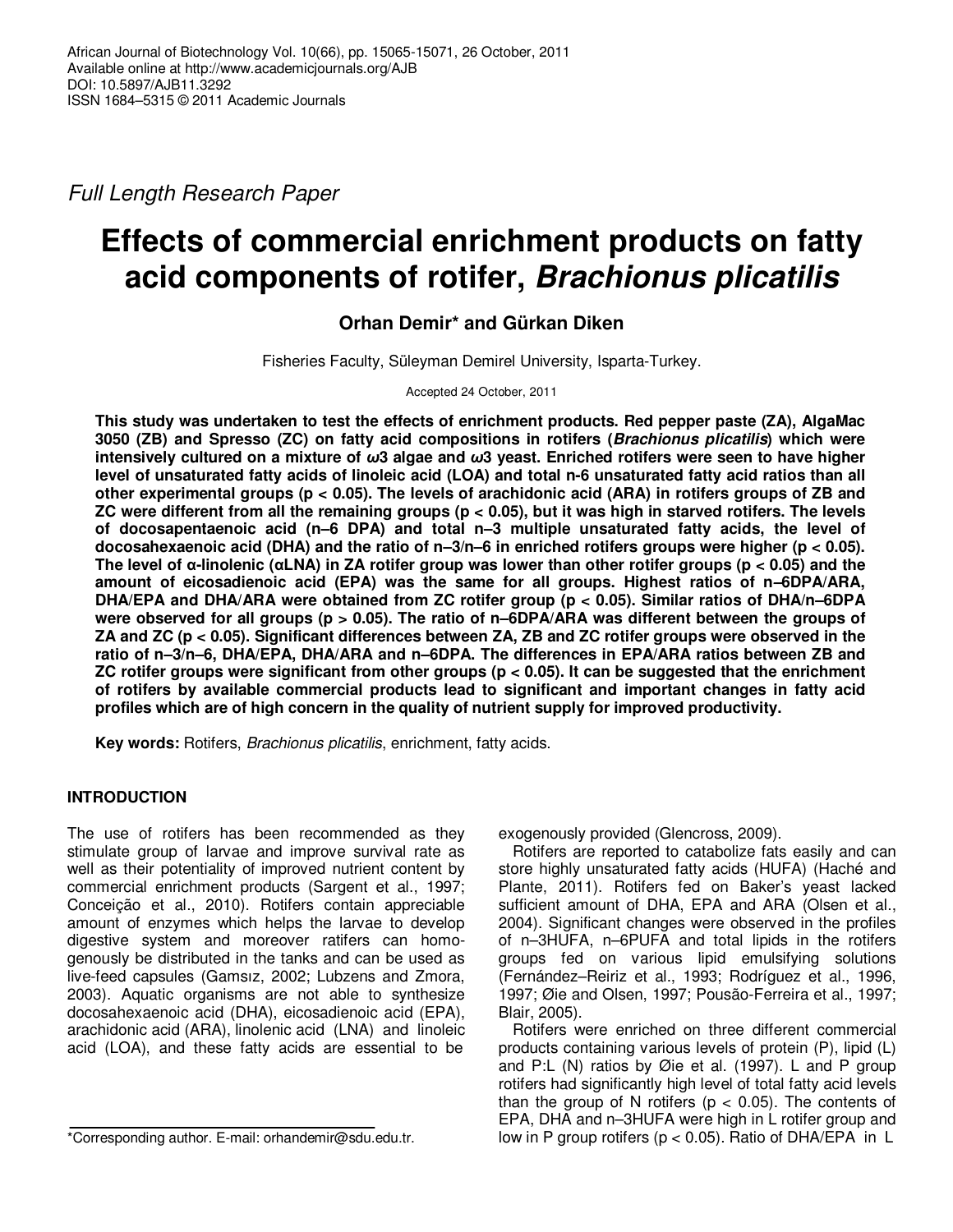Full Length Research Paper

# **Effects of commercial enrichment products on fatty acid components of rotifer, Brachionus plicatilis**

# **Orhan Demir\* and Gürkan Diken**

Fisheries Faculty, Süleyman Demirel University, Isparta-Turkey.

## Accepted 24 October, 2011

**This study was undertaken to test the effects of enrichment products. Red pepper paste (ZA), AlgaMac 3050 (ZB) and Spresso (ZC) on fatty acid compositions in rotifers (Brachionus plicatilis) which were intensively cultured on a mixture of** *ω***3 algae and** *ω***3 yeast. Enriched rotifers were seen to have higher** level of unsaturated fatty acids of linoleic acid (LOA) and total n-6 unsaturated fatty acid ratios than all **other experimental groups (p < 0.05). The levels of arachidonic acid (ARA) in rotifers groups of ZB and ZC were different from all the remaining groups (p < 0.05), but it was high in starved rotifers. The levels of docosapentaenoic acid (n–6 DPA) and total n–3 multiple unsaturated fatty acids, the level of docosahexaenoic acid (DHA) and the ratio of n–3/n–6 in enriched rotifers groups were higher (p < 0.05). The level of α-linolenic (αLNA) in ZA rotifer group was lower than other rotifer groups (p < 0.05) and the amount of eicosadienoic acid (EPA) was the same for all groups. Highest ratios of n–6DPA/ARA, DHA/EPA and DHA/ARA were obtained from ZC rotifer group (p < 0.05). Similar ratios of DHA/n–6DPA were observed for all groups (p > 0.05). The ratio of n–6DPA/ARA was different between the groups of ZA and ZC (p < 0.05). Significant differences between ZA, ZB and ZC rotifer groups were observed in the ratio of n–3/n–6, DHA/EPA, DHA/ARA and n–6DPA. The differences in EPA/ARA ratios between ZB and ZC rotifer groups were significant from other groups (p < 0.05). It can be suggested that the enrichment of rotifers by available commercial products lead to significant and important changes in fatty acid profiles which are of high concern in the quality of nutrient supply for improved productivity.** 

**Key words:** Rotifers, Brachionus plicatilis, enrichment, fatty acids.

# **INTRODUCTION**

The use of rotifers has been recommended as they stimulate group of larvae and improve survival rate as well as their potentiality of improved nutrient content by commercial enrichment products (Sargent et al., 1997; Conceição et al., 2010). Rotifers contain appreciable amount of enzymes which helps the larvae to develop digestive system and moreover ratifers can homogenously be distributed in the tanks and can be used as live-feed capsules (Gamsız, 2002; Lubzens and Zmora, 2003). Aquatic organisms are not able to synthesize docosahexaenoic acid (DHA), eicosadienoic acid (EPA), arachidonic acid (ARA), linolenic acid (LNA) and linoleic acid (LOA), and these fatty acids are essential to be

exogenously provided (Glencross, 2009).

Rotifers are reported to catabolize fats easily and can store highly unsaturated fatty acids (HUFA) (Haché and Plante, 2011). Rotifers fed on Baker's yeast lacked sufficient amount of DHA, EPA and ARA (Olsen et al., 2004). Significant changes were observed in the profiles of n–3HUFA, n–6PUFA and total lipids in the rotifers groups fed on various lipid emulsifying solutions (Fernández–Reiriz et al., 1993; Rodríguez et al., 1996, 1997; Øie and Olsen, 1997; Pousão-Ferreira et al., 1997; Blair, 2005).

Rotifers were enriched on three different commercial products containing various levels of protein (P), lipid (L) and P:L (N) ratios by Øie et al. (1997). L and P group rotifers had significantly high level of total fatty acid levels than the group of N rotifers ( $p < 0.05$ ). The contents of EPA, DHA and n–3HUFA were high in L rotifer group and low in P group rotifers ( $p < 0.05$ ). Ratio of DHA/EPA in L

<sup>\*</sup>Corresponding author. E-mail: orhandemir@sdu.edu.tr.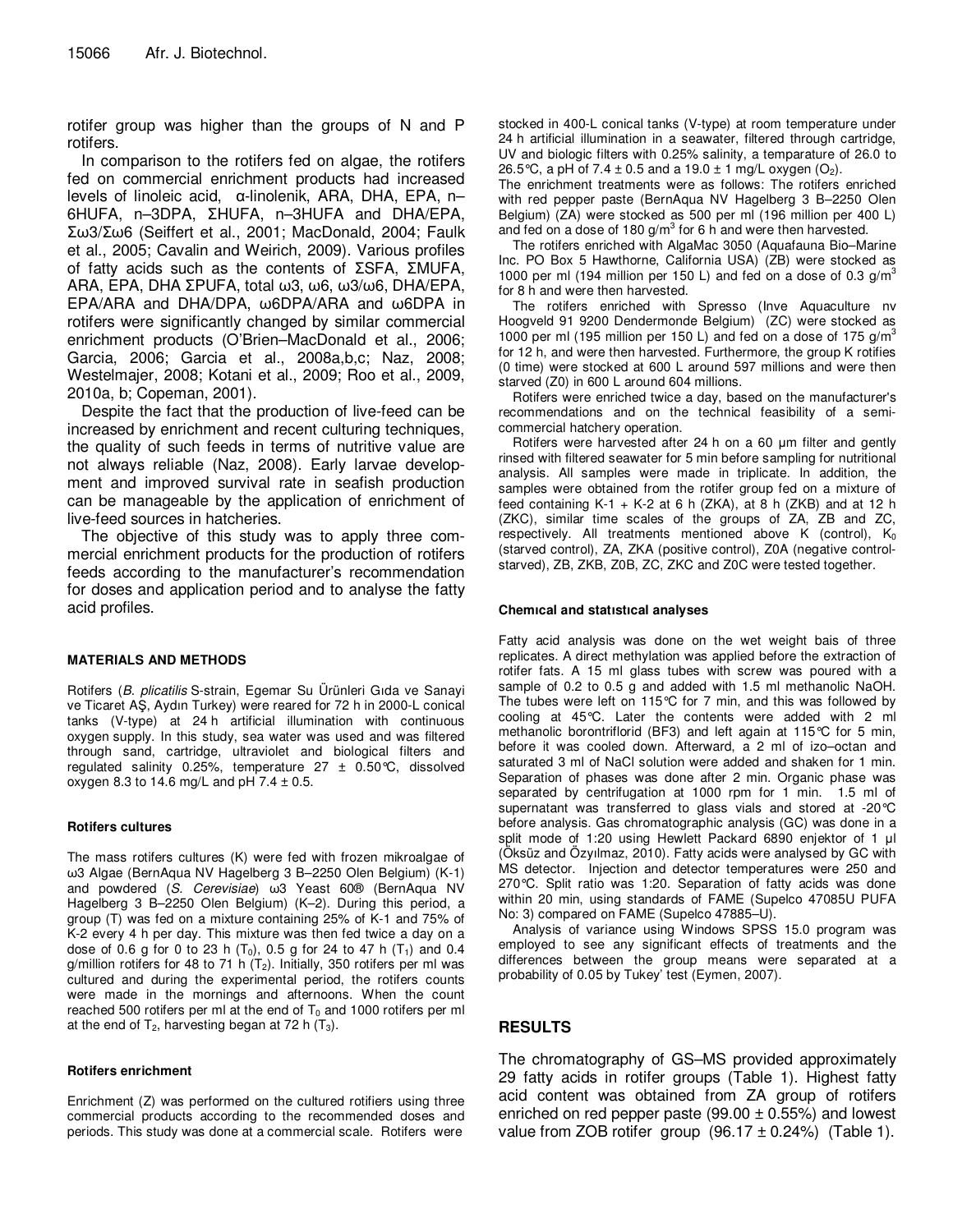rotifer group was higher than the groups of N and P rotifers.

In comparison to the rotifers fed on algae, the rotifers fed on commercial enrichment products had increased levels of linoleic acid, α-linolenik, ARA, DHA, EPA, n– 6HUFA, n–3DPA, ΣHUFA, n–3HUFA and DHA/EPA, Σω3/Σω6 (Seiffert et al., 2001; MacDonald, 2004; Faulk et al., 2005; Cavalin and Weirich, 2009). Various profiles of fatty acids such as the contents of ΣSFA, ΣMUFA, ARA, EPA, DHA ΣPUFA, total ω3, ω6, ω3/ω6, DHA/EPA, EPA/ARA and DHA/DPA, ω6DPA/ARA and ω6DPA in rotifers were significantly changed by similar commercial enrichment products (O'Brien–MacDonald et al., 2006; Garcia, 2006; Garcia et al., 2008a,b,c; Naz, 2008; Westelmajer, 2008; Kotani et al., 2009; Roo et al., 2009, 2010a, b; Copeman, 2001).

Despite the fact that the production of live-feed can be increased by enrichment and recent culturing techniques, the quality of such feeds in terms of nutritive value are not always reliable (Naz, 2008). Early larvae development and improved survival rate in seafish production can be manageable by the application of enrichment of live-feed sources in hatcheries.

The objective of this study was to apply three commercial enrichment products for the production of rotifers feeds according to the manufacturer's recommendation for doses and application period and to analyse the fatty acid profiles.

#### **MATERIALS AND METHODS**

Rotifers (B. plicatilis S-strain, Egemar Su Ürünleri Gıda ve Sanayi ve Ticaret AŞ, Aydın Turkey) were reared for 72 h in 2000-L conical tanks (V-type) at 24 h artificial illumination with continuous oxygen supply. In this study, sea water was used and was filtered through sand, cartridge, ultraviolet and biological filters and regulated salinity 0.25%, temperature  $27 \pm 0.50$ °C, dissolved oxygen 8.3 to 14.6 mg/L and  $pH$  7.4  $\pm$  0.5.

#### **Rotifers cultures**

The mass rotifers cultures (K) were fed with frozen mikroalgae of ω3 Algae (BernAqua NV Hagelberg 3 B–2250 Olen Belgium) (K-1) and powdered (S. Cerevisiae) ω3 Yeast 60® (BernAqua NV Hagelberg 3 B–2250 Olen Belgium) (K–2). During this period, a group (T) was fed on a mixture containing 25% of K-1 and 75% of K-2 every 4 h per day. This mixture was then fed twice a day on a dose of 0.6 g for 0 to 23 h (T<sub>0</sub>), 0.5 g for 24 to 47 h (T<sub>1</sub>) and 0.4 g/million rotifers for 48 to 71 h  $(T_2)$ . Initially, 350 rotifers per ml was cultured and during the experimental period, the rotifers counts were made in the mornings and afternoons. When the count reached 500 rotifers per ml at the end of  $T_0$  and 1000 rotifers per ml at the end of  $T_2$ , harvesting began at 72 h  $(T_3)$ .

#### **Rotifers enrichment**

Enrichment (Z) was performed on the cultured rotifiers using three commercial products according to the recommended doses and periods. This study was done at a commercial scale. Rotifers were

stocked in 400-L conical tanks (V-type) at room temperature under 24 h artificial illumination in a seawater, filtered through cartridge, UV and biologic filters with 0.25% salinity, a temparature of 26.0 to 26.5°C, a pH of 7.4  $\pm$  0.5 and a 19.0  $\pm$  1 mg/L oxygen (O<sub>2</sub>).

The enrichment treatments were as follows: The rotifers enriched with red pepper paste (BernAqua NV Hagelberg 3 B–2250 Olen Belgium) (ZA) were stocked as 500 per ml (196 million per 400 L) and fed on a dose of 180  $g/m^3$  for 6 h and were then harvested.

The rotifers enriched with AlgaMac 3050 (Aquafauna Bio–Marine Inc. PO Box 5 Hawthorne, California USA) (ZB) were stocked as 1000 per ml (194 million per 150 L) and fed on a dose of 0.3  $g/m<sup>3</sup>$ for 8 h and were then harvested.

The rotifers enriched with Spresso (Inve Aquaculture nv Hoogveld 91 9200 Dendermonde Belgium) (ZC) were stocked as 1000 per ml (195 million per 150 L) and fed on a dose of 175  $q/m<sup>3</sup>$ for 12 h, and were then harvested. Furthermore, the group K rotifies (0 time) were stocked at 600 L around 597 millions and were then starved (Z0) in 600 L around 604 millions.

Rotifers were enriched twice a day, based on the manufacturer's recommendations and on the technical feasibility of a semicommercial hatchery operation.

Rotifers were harvested after 24 h on a 60 µm filter and gently rinsed with filtered seawater for 5 min before sampling for nutritional analysis. All samples were made in triplicate. In addition, the samples were obtained from the rotifer group fed on a mixture of feed containing K-1 + K-2 at 6 h (ZKA), at 8 h (ZKB) and at 12 h (ZKC), similar time scales of the groups of ZA, ZB and ZC, respectively. All treatments mentioned above K (control), K<sub>0</sub> (starved control), ZA, ZKA (positive control), Z0A (negative controlstarved), ZB, ZKB, Z0B, ZC, ZKC and Z0C were tested together.

#### **Chemıcal and statıstıcal analyses**

Fatty acid analysis was done on the wet weight bais of three replicates. A direct methylation was applied before the extraction of rotifer fats. A 15 ml glass tubes with screw was poured with a sample of 0.2 to 0.5 g and added with 1.5 ml methanolic NaOH. The tubes were left on 115°C for 7 min, and this was followed by cooling at 45°C. Later the contents were added with 2 ml methanolic borontriflorid (BF3) and left again at 115°C for 5 min, before it was cooled down. Afterward, a 2 ml of izo–octan and saturated 3 ml of NaCl solution were added and shaken for 1 min. Separation of phases was done after 2 min. Organic phase was separated by centrifugation at 1000 rpm for 1 min. 1.5 ml of supernatant was transferred to glass vials and stored at -20°C before analysis. Gas chromatographic analysis (GC) was done in a split mode of 1:20 using Hewlett Packard 6890 enjektor of 1 µl (Öksüz and Özyılmaz, 2010). Fatty acids were analysed by GC with MS detector. Injection and detector temperatures were 250 and 270°C. Split ratio was 1:20. Separation of fatty acids was done within 20 min, using standards of FAME (Supelco 47085U PUFA No: 3) compared on FAME (Supelco 47885–U).

Analysis of variance using Windows SPSS 15.0 program was employed to see any significant effects of treatments and the differences between the group means were separated at a probability of 0.05 by Tukey' test (Eymen, 2007).

### **RESULTS**

The chromatography of GS–MS provided approximately 29 fatty acids in rotifer groups (Table 1). Highest fatty acid content was obtained from ZA group of rotifers enriched on red pepper paste (99.00  $\pm$  0.55%) and lowest value from ZOB rotifer group  $(96.17 \pm 0.24\%)$  (Table 1).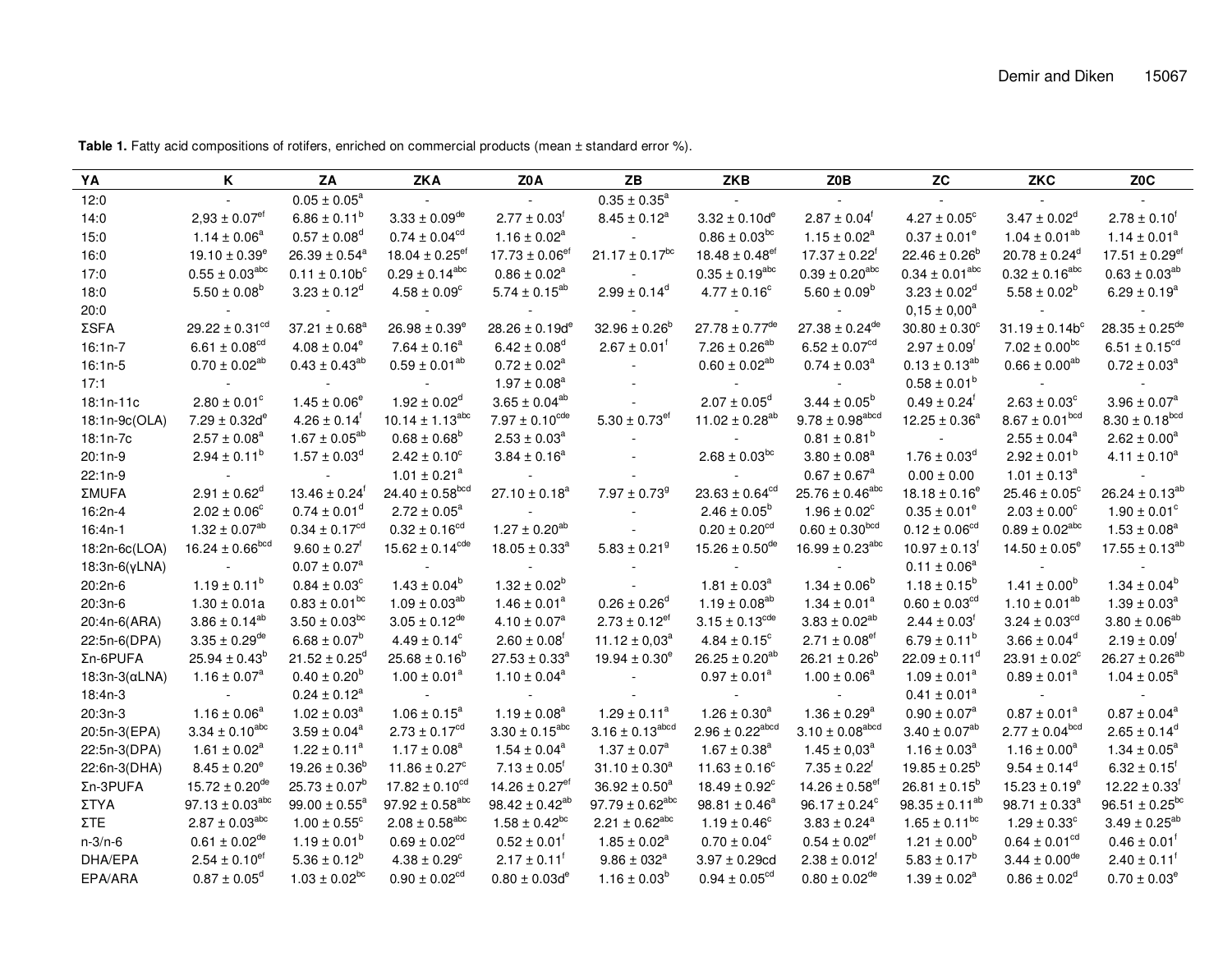| YA                    | Κ                              | ΖA                            | <b>ZKA</b>                      | Z0A                            | ZΒ                            | <b>ZKB</b>                     | Z0B                             | <b>ZC</b>                     | ZKC                          | Z <sub>0</sub> C               |
|-----------------------|--------------------------------|-------------------------------|---------------------------------|--------------------------------|-------------------------------|--------------------------------|---------------------------------|-------------------------------|------------------------------|--------------------------------|
| 12:0                  |                                | $0.05 \pm 0.05^a$             |                                 |                                | $0.35 \pm 0.35^a$             |                                |                                 |                               |                              |                                |
| 14:0                  | $2,93 \pm 0.07$ <sup>et</sup>  | $6.86 \pm 0.11^b$             | $3.33 \pm 0.09$ <sup>de</sup>   | $2.77 \pm 0.03$ <sup>f</sup>   | $8.45 \pm 0.12^a$             | $3.32 \pm 0.10d^e$             | $2.87 \pm 0.04^{\dagger}$       | $4.27 \pm 0.05^{\circ}$       | $3.47 \pm 0.02^d$            | $2.78 \pm 0.10$ <sup>1</sup>   |
| 15:0                  | $1.14 \pm 0.06^a$              | $0.57 \pm 0.08^{\circ}$       | $0.74 \pm 0.04^{cd}$            | $1.16 \pm 0.02^a$              |                               | $0.86 \pm 0.03^{bc}$           | $1.15 \pm 0.02^a$               | $0.37 \pm 0.01^e$             | $1.04 \pm 0.01^{ab}$         | $1.14 \pm 0.01^a$              |
| 16:0                  | $19.10 \pm 0.39^e$             | $26.39 \pm 0.54^a$            | 18.04 $\pm$ 0.25 <sup>ef</sup>  | $17.73 \pm 0.06$ <sup>ef</sup> | $21.17 \pm 0.17^{bc}$         | $18.48 \pm 0.48$ <sup>ef</sup> | $17.37 \pm 0.22^{\dagger}$      | $22.46 \pm 0.26^b$            | $20.78 \pm 0.24^d$           | 17.51 $\pm$ 0.29 <sup>ef</sup> |
| 17:0                  | $0.55 \pm 0.03^{abc}$          | $0.11 \pm 0.10b^c$            | $0.29 \pm 0.14^{abc}$           | $0.86 \pm 0.02^a$              |                               | $0.35 \pm 0.19^{abc}$          | $0.39 \pm 0.20^{abc}$           | $0.34 \pm 0.01^{abc}$         | $0.32 \pm 0.16^{abc}$        | $0.63 \pm 0.03^{ab}$           |
| 18:0                  | $5.50 \pm 0.08^b$              | $3.23 \pm 0.12^d$             | $4.58 \pm 0.09^{\circ}$         | $5.74 \pm 0.15^{ab}$           | $2.99 \pm 0.14^d$             | $4.77 \pm 0.16^{\circ}$        | $5.60 \pm 0.09^{\circ}$         | $3.23 \pm 0.02^{\circ}$       | $5.58 \pm 0.02^b$            | $6.29 \pm 0.19^a$              |
| 20:0                  |                                |                               |                                 |                                |                               |                                |                                 | $0.15 \pm 0.00^a$             |                              |                                |
| ΣSFA                  | $29.22 \pm 0.31^{\text{cd}}$   | $37.21 \pm 0.68^a$            | $26.98 \pm 0.39^{\circ}$        | 28.26 ± 0.19d <sup>e</sup>     | $32.96 \pm 0.26^{\circ}$      | $27.78 \pm 0.77$ <sup>de</sup> | $27.38 \pm 0.24$ <sup>de</sup>  | $30.80 \pm 0.30^{\circ}$      | $31.19 \pm 0.14b^c$          | $28.35 \pm 0.25$ <sup>de</sup> |
| $16:1n-7$             | 6.61 $\pm$ 0.08 <sup>cd</sup>  | $4.08 \pm 0.04^e$             | $7.64 \pm 0.16^a$               | $6.42 \pm 0.08$ <sup>d</sup>   | $2.67 \pm 0.01$ <sup>T</sup>  | $7.26 \pm 0.26^{ab}$           | $6.52 \pm 0.07^{cd}$            | $2.97 \pm 0.09$ <sup>f</sup>  | $7.02 \pm 0.00^{bc}$         | $6.51 \pm 0.15^{cd}$           |
| $16:1n-5$             | $0.70 \pm 0.02^{ab}$           | $0.43 \pm 0.43^{ab}$          | $0.59 \pm 0.01^{ab}$            | $0.72 \pm 0.02^a$              |                               | $0.60 \pm 0.02^{ab}$           | $0.74 \pm 0.03^a$               | $0.13 \pm 0.13^{ab}$          | $0.66 \pm 0.00^{ab}$         | $0.72 \pm 0.03^a$              |
| 17:1                  |                                |                               |                                 | $1.97 \pm 0.08^a$              |                               |                                |                                 | $0.58 \pm 0.01^b$             |                              |                                |
| $18:1n-11c$           | $2.80 \pm 0.01^{\circ}$        | $1.45 \pm 0.06^e$             | $1.92 \pm 0.02^d$               | $3.65 \pm 0.04^{ab}$           |                               | $2.07 \pm 0.05^{\circ}$        | $3.44 \pm 0.05^b$               | $0.49 \pm 0.24$ <sup>f</sup>  | $2.63 \pm 0.03$ <sup>c</sup> | $3.96 \pm 0.07^a$              |
| 18:1n-9c(OLA)         | $7.29 \pm 0.32d^e$             | $4.26 \pm 0.14$ <sup>T</sup>  | $10.14 \pm 1.13^{abc}$          | $7.97 \pm 0.10^{cde}$          | $5.30 \pm 0.73$ <sup>ef</sup> | $11.02 \pm 0.28^{ab}$          | $9.78 \pm 0.98$ <sup>abcd</sup> | $12.25 \pm 0.36^a$            | $8.67 \pm 0.01^{bcd}$        | $8.30 \pm 0.18^{bcd}$          |
| 18:1n-7c              | $2.57 \pm 0.08^a$              | $1.67 \pm 0.05^{ab}$          | $0.68 \pm 0.68^b$               | $2.53 \pm 0.03^a$              |                               |                                | $0.81 \pm 0.81^b$               |                               | $2.55 \pm 0.04^a$            | $2.62 \pm 0.00^a$              |
| $20:1n-9$             | $2.94 \pm 0.11^b$              | $1.57 \pm 0.03^d$             | $2.42 \pm 0.10^{\circ}$         | $3.84 \pm 0.16^a$              |                               | $2.68 \pm 0.03^{bc}$           | $3.80 \pm 0.08^a$               | $1.76 \pm 0.03^{\circ}$       | $2.92 \pm 0.01^b$            | $4.11 \pm 0.10^a$              |
| $22:1n-9$             |                                |                               | $1.01 \pm 0.21^a$               |                                |                               |                                | $0.67 \pm 0.67^a$               | $0.00 \pm 0.00$               | $1.01 \pm 0.13^a$            |                                |
| <b>ΣMUFA</b>          | $2.91 \pm 0.62^d$              | $13.46 \pm 0.24$ <sup>t</sup> | 24.40 $\pm$ 0.58 <sup>bcd</sup> | $27.10 \pm 0.18^a$             | $7.97 \pm 0.73$ <sup>9</sup>  | $23.63 \pm 0.64^{cd}$          | $25.76 \pm 0.46^{abc}$          | $18.18 \pm 0.16^e$            | $25.46 \pm 0.05^{\circ}$     | $26.24 \pm 0.13^{ab}$          |
| 16:2n-4               | $2.02 \pm 0.06^{\circ}$        | $0.74 \pm 0.01^d$             | $2.72 \pm 0.05^a$               |                                |                               | $2.46 \pm 0.05^b$              | $1.96 \pm 0.02^c$               | $0.35 \pm 0.01^{\circ}$       | $2.03 \pm 0.00^{\circ}$      | $1.90 \pm 0.01^{\circ}$        |
| $16:4n-1$             | $1.32 \pm 0.07^{ab}$           | $0.34 \pm 0.17^{cd}$          | $0.32 \pm 0.16^{cd}$            | $1.27 \pm 0.20^{ab}$           |                               | $0.20 \pm 0.20^{cd}$           | $0.60 \pm 0.30^{bcd}$           | $0.12 \pm 0.06^{cd}$          | $0.89 \pm 0.02^{abc}$        | $1.53 \pm 0.08^a$              |
| 18:2n-6c(LOA)         | $16.24 \pm 0.66^{bcd}$         | $9.60 \pm 0.27$ <sup>f</sup>  | $15.62 \pm 0.14^{cde}$          | $18.05 \pm 0.33^{\circ}$       | $5.83 \pm 0.21$ <sup>9</sup>  | 15.26 $\pm$ 0.50 <sup>de</sup> | 16.99 $\pm$ 0.23 <sup>abc</sup> | $10.97 \pm 0.13$ <sup>T</sup> | $14.50 \pm 0.05^{\circ}$     | $17.55 \pm 0.13^{ab}$          |
| $18:3n-6(\gamma LNA)$ | $\sim$                         | $0.07 \pm 0.07^a$             |                                 |                                |                               |                                |                                 | $0.11 \pm 0.06^a$             |                              |                                |
| 20:2n-6               | $1.19 \pm 0.11^b$              | $0.84 \pm 0.03^{\circ}$       | $1.43 \pm 0.04^b$               | $1.32 \pm 0.02^b$              |                               | $1.81 \pm 0.03^{\circ}$        | $1.34 \pm 0.06^b$               | $1.18 \pm 0.15^b$             | $1.41 \pm 0.00^b$            | $1.34 \pm 0.04^b$              |
| $20:3n-6$             | $1.30 \pm 0.01a$               | $0.83 \pm 0.01^{bc}$          | $1.09 \pm 0.03^{ab}$            | $1.46 \pm 0.01^a$              | $0.26 \pm 0.26^{\circ}$       | $1.19 \pm 0.08^{ab}$           | $1.34 \pm 0.01^a$               | $0.60 \pm 0.03$ <sup>cd</sup> | $1.10 \pm 0.01^{ab}$         | $1.39 \pm 0.03^a$              |
| 20:4n-6(ARA)          | $3.86 \pm 0.14^{ab}$           | $3.50 \pm 0.03^{bc}$          | $3.05 \pm 0.12^{de}$            | $4.10 \pm 0.07^a$              | $2.73 \pm 0.12$ <sup>et</sup> | $3.15 \pm 0.13^{\text{cde}}$   | $3.83 \pm 0.02^{ab}$            | $2.44 \pm 0.03$ <sup>t</sup>  | $3.24 \pm 0.03^{cd}$         | $3.80 \pm 0.06^{ab}$           |
| 22:5n-6(DPA)          | $3.35 \pm 0.29$ <sup>de</sup>  | $6.68 \pm 0.07^b$             | $4.49 \pm 0.14^c$               | $2.60 \pm 0.08$ <sup>T</sup>   | 11.12 $\pm$ 0.03 <sup>a</sup> | $4.84 \pm 0.15^{\circ}$        | $2.71 \pm 0.08$ <sup>ef</sup>   | $6.79 \pm 0.11^{\circ}$       | $3.66 \pm 0.04^d$            | $2.19 \pm 0.09$ <sup>t</sup>   |
| Ση-6PUFA              | $25.94 \pm 0.43^b$             | $21.52 \pm 0.25^d$            | $25.68 \pm 0.16^b$              | $27.53 \pm 0.33^a$             | $19.94 \pm 0.30^e$            | $26.25 \pm 0.20^{ab}$          | $26.21 \pm 0.26^b$              | $22.09 \pm 0.11^d$            | $23.91 \pm 0.02^c$           | $26.27 \pm 0.26^{ab}$          |
| $18:3n-3(\alpha LNA)$ | $1.16 \pm 0.07^a$              | $0.40 \pm 0.20^{\circ}$       | $1.00 \pm 0.01^a$               | $1.10 \pm 0.04^a$              |                               | $0.97 \pm 0.01^a$              | $1.00 \pm 0.06^a$               | $1.09 \pm 0.01^a$             | $0.89 \pm 0.01^a$            | $1.04 \pm 0.05^a$              |
| 18:4n-3               |                                | $0.24 \pm 0.12^{\text{a}}$    |                                 |                                |                               |                                |                                 | $0.41 \pm 0.01^a$             |                              |                                |
| $20:3n-3$             | $1.16 \pm 0.06^a$              | $1.02 \pm 0.03^a$             | $1.06 \pm 0.15^a$               | $1.19 \pm 0.08^a$              | $1.29 \pm 0.11^a$             | $1.26 \pm 0.30^a$              | $1.36 \pm 0.29^a$               | $0.90 \pm 0.07^{\text{a}}$    | $0.87 \pm 0.01^a$            | $0.87 \pm 0.04^a$              |
| 20:5n-3(EPA)          | $3.34 \pm 0.10^{abc}$          | $3.59 \pm 0.04^a$             | $2.73 \pm 0.17^{cd}$            | $3.30 \pm 0.15^{\text{abc}}$   | $3.16 \pm 0.13^{abcd}$        | $2.96 \pm 0.22^{abcd}$         | $3.10 \pm 0.08$ <sup>abcd</sup> | $3.40 \pm 0.07^{ab}$          | $2.77 \pm 0.04^{bcd}$        | $2.65 \pm 0.14^d$              |
| 22:5n-3(DPA)          | $1.61 \pm 0.02^a$              | $1.22 \pm 0.11^a$             | $1.17 \pm 0.08^a$               | $1.54 \pm 0.04^a$              | $1.37 \pm 0.07^{\circ}$       | $1.67 \pm 0.38^a$              | $1.45 \pm 0.03^a$               | $1.16 \pm 0.03^a$             | $1.16 \pm 0.00^a$            | $1.34 \pm 0.05^a$              |
| 22:6n-3(DHA)          | $8.45 \pm 0.20^e$              | $19.26 \pm 0.36^b$            | $11.86 \pm 0.27$ <sup>c</sup>   | $7.13 \pm 0.05$ <sup>t</sup>   | $31.10 \pm 0.30^a$            | $11.63 \pm 0.16^{\circ}$       | $7.35 \pm 0.22^{\dagger}$       | $19.85 \pm 0.25^{\circ}$      | $9.54 \pm 0.14^{\circ}$      | $6.32 \pm 0.15$ <sup>t</sup>   |
| Ση-3PUFA              | $15.72 \pm 0.20$ <sup>de</sup> | $25.73 \pm 0.07^b$            | $17.82 \pm 0.10^{cd}$           | 14.26 $\pm$ 0.27 <sup>ef</sup> | $36.92 \pm 0.50^4$            | $18.49 \pm 0.92^{\circ}$       | 14.26 $\pm$ 0.58 <sup>ef</sup>  | $26.81 \pm 0.15^b$            | $15.23 \pm 0.19^e$           | $12.22 \pm 0.33^{\dagger}$     |
| ΣΤΥΑ                  | $97.13 \pm 0.03^{abc}$         | $99.00 \pm 0.55^{\circ}$      | $97.92 \pm 0.58$ <sup>abc</sup> | $98.42 \pm 0.42^{ab}$          | $97.79 \pm 0.62^{abc}$        | $98.81 \pm 0.46^a$             | $96.17 \pm 0.24^c$              | $98.35 \pm 0.11^{ab}$         | $98.71 \pm 0.33^a$           | $96.51 \pm 0.25^{bc}$          |
| ΣTE.                  | $2.87 \pm 0.03$ <sup>abc</sup> | $1.00 \pm 0.55^{\circ}$       | $2.08 \pm 0.58$ <sup>abc</sup>  | $1.58 \pm 0.42^{bc}$           | $2.21 \pm 0.62^{\text{abc}}$  | $1.19 \pm 0.46^{\circ}$        | $3.83 \pm 0.24^a$               | $1.65 \pm 0.11^{\text{bc}}$   | $1.29 \pm 0.33^{\circ}$      | $3.49 \pm 0.25^{ab}$           |
| $n-3/n-6$             | $0.61 \pm 0.02^{\text{de}}$    | $1.19 \pm 0.01^b$             | $0.69 \pm 0.02^{cd}$            | $0.52 \pm 0.01$ <sup>T</sup>   | $1.85 \pm 0.02^a$             | $0.70 \pm 0.04^c$              | $0.54 \pm 0.02$ <sup>et</sup>   | $1.21 \pm 0.00^{\circ}$       | $0.64 \pm 0.01^{cd}$         | $0.46 \pm 0.01$ <sup>t</sup>   |
| DHA/EPA               | $2.54 \pm 0.10^{\text{et}}$    | $5.36 \pm 0.12^b$             | $4.38 \pm 0.29^{\circ}$         | $2.17 \pm 0.11$ <sup>t</sup>   | $9.86 \pm 032^a$              | $3.97 \pm 0.29$ cd             | $2.38 \pm 0.012^{\dagger}$      | $5.83 \pm 0.17^b$             | $3.44 \pm 0.00^{\text{de}}$  | $2.40 \pm 0.11^{\circ}$        |
| EPA/ARA               | $0.87 \pm 0.05^d$              | $1.03 \pm 0.02^{bc}$          | $0.90 \pm 0.02^{cd}$            | $0.80 \pm 0.03d^e$             | $1.16 \pm 0.03^b$             | $0.94 \pm 0.05$ <sup>cd</sup>  | $0.80 \pm 0.02$ <sup>de</sup>   | $1.39 \pm 0.02^a$             | $0.86 \pm 0.02^{\circ}$      | $0.70 \pm 0.03^e$              |

Table 1. Fatty acid compositions of rotifers, enriched on commercial products (mean ± standard error %).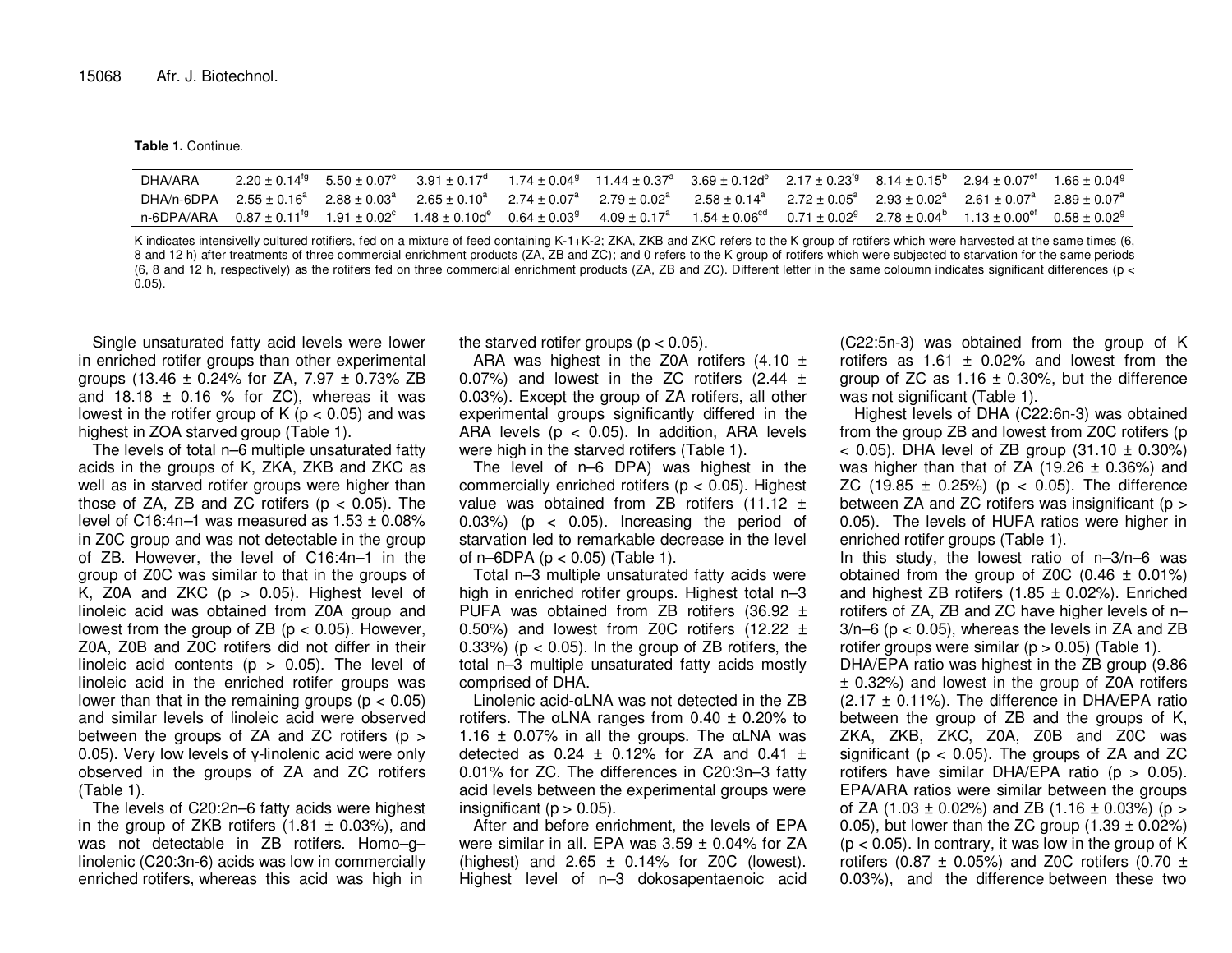**Table 1.** Continue.

| DHA/ARA |  |  | $2.20 \pm 0.14^{19}$ $5.50 \pm 0.07^{\circ}$ $3.91 \pm 0.17^{\circ}$ $1.74 \pm 0.04^{\circ}$ $11.44 \pm 0.37^{\circ}$ $3.69 \pm 0.12$ $^{\circ}$ $2.17 \pm 0.23^{19}$ $8.14 \pm 0.15^{\circ}$ $2.94 \pm 0.07^{\circ}$ $1.66 \pm 0.04^{\circ}$ |  |  |
|---------|--|--|-----------------------------------------------------------------------------------------------------------------------------------------------------------------------------------------------------------------------------------------------|--|--|
|         |  |  | DHA/n-6DPA $2.55 \pm 0.16^a$ $2.88 \pm 0.03^a$ $2.65 \pm 0.10^a$ $2.74 \pm 0.07^a$ $2.79 \pm 0.02^a$ $2.58 \pm 0.14^a$ $2.72 \pm 0.05^a$ $2.93 \pm 0.02^a$ $2.61 \pm 0.07^a$ $2.89 \pm 0.07^a$                                                |  |  |
|         |  |  | n-6DPA/ARA $0.87\pm0.11^{19}$ $1.91\pm0.02^{\circ}$ $1.48\pm0.10d^{\circ}$ $0.64\pm0.03^{9}$ $4.09\pm0.17^{\circ}$ $1.54\pm0.06^{\circ d}$ $0.71\pm0.02^{9}$ $2.78\pm0.04^{\circ}$ $1.13\pm0.00^{\circ\dagger}$ $0.58\pm0.02^{\circ}$         |  |  |

K indicates intensivelly cultured rotifiers, fed on a mixture of feed containing K-1+K-2; ZKA, ZKB and ZKC refers to the K group of rotifers which were harvested at the same times (6, 8 and 12 h) after treatments of three commercial enrichment products (ZA, ZB and ZC); and 0 refers to the K group of rotifers which were subjected to starvation for the same periods (6, 8 and 12 h, respectively) as the rotifers fed on three commercial enrichment products (ZA, ZB and ZC). Different letter in the same coloumn indicates significant differences (p < 0.05).

Single unsaturated fatty acid levels were lower in enriched rotifer groups than other experimental groups (13.46 ± 0.24% for ZA, 7.97 ± 0.73% ZB and 18.18  $\pm$  0.16 % for ZC), whereas it was lowest in the rotifer group of K ( $p < 0.05$ ) and was highest in ZOA starved group (Table 1).

The levels of total  $n-6$  multiple unsaturated fatty acids in the groups of K, ZKA, ZKB and ZKC as well as in starved rotifer groups were higher than those of ZA, ZB and ZC rotifers (p < 0.05). The level of C16:4n–1 was measured as  $1.53 \pm 0.08\%$  in Z0C group and was not detectable in the group of ZB. However, the level of C16:4n–1 in the group of Z0C was similar to that in the groups of K, Z0A and ZKC  $(p > 0.05)$ . Highest level of linoleic acid was obtained from Z0A group and lowest from the group of ZB (p < 0.05). However, Z0A, Z0B and Z0C rotifers did not differ in their linoleic acid contents  $(p > 0.05)$ . The level of linoleic acid in the enriched rotifer groups was lower than that in the remaining groups  $(p < 0.05)$  and similar levels of linoleic acid were observed between the groups of ZA and ZC rotifers ( $p > 0$  0.05). Very low levels of γ-linolenic acid were only observed in the groups of ZA and ZC rotifers (Table 1).

 The levels of C20:2n–6 fatty acids were highest in the group of ZKB rotifers  $(1.81 \pm 0.03\%)$ , and was not detectable in ZB rotifers. Homo–g– linolenic (C20:3n-6) acids was low in commercially enriched rotifers, whereas this acid was high in

the starved rotifer groups ( $p < 0.05$ ).

ARA was highest in the Z0A rotifers  $(4.10 \pm$ 0.07%) and lowest in the ZC rotifers (2.44  $\pm$  0.03%). Except the group of ZA rotifers, all other experimental groups significantly differed in the ARA levels (p < 0.05). In addition, ARA levels were high in the starved rotifers (Table 1).

 The level of n–6 DPA) was highest in the commercially enriched rotifers ( $p < 0.05$ ). Highest value was obtained from ZB rotifers (11.12  $\pm$  0.03%) (p < 0.05). Increasing the period of starvation led to remarkable decrease in the level of n–6DPA (p < 0.05) (Table 1).

 Total n–3 multiple unsaturated fatty acids were high in enriched rotifer groups. Highest total n–3 PUFA was obtained from ZB rotifers (36.92  $\pm$ 0.50%) and lowest from Z0C rotifers (12.22  $\pm$ 0.33%) ( $p < 0.05$ ). In the group of ZB rotifers, the total n–3 multiple unsaturated fatty acids mostly comprised of DHA.

 Linolenic acid-αLNA was not detected in the ZB rotifers. The  $\alpha$ LNA ranges from 0.40  $\pm$  0.20% to 1.16  $\pm$  0.07% in all the groups. The  $\alpha$ LNA was detected as  $0.24 \pm 0.12\%$  for ZA and  $0.41 \pm 1$  0.01% for ZC. The differences in C20:3n–3 fatty acid levels between the experimental groups were insignificant ( $p > 0.05$ ).

 After and before enrichment, the levels of EPA were similar in all. EPA was 3.59 ± 0.04% for ZA (highest) and  $2.65 \pm 0.14\%$  for Z0C (lowest). Highest level of n–3 dokosapentaenoic acid (C22:5n-3) was obtained from the group of K rotifers as  $1.61 \pm 0.02\%$  and lowest from the group of ZC as  $1.16 \pm 0.30$ %, but the difference was not significant (Table 1).

 Highest levels of DHA (C22:6n-3) was obtained from the group ZB and lowest from Z0C rotifers (p  $<$  0.05). DHA level of ZB group (31.10  $\pm$  0.30%) was higher than that of ZA  $(19.26 \pm 0.36%)$  and ZC  $(19.85 \pm 0.25%)$   $(p < 0.05)$ . The difference between ZA and ZC rotifers was insignificant (p > 0.05). The levels of HUFA ratios were higher in enriched rotifer groups (Table 1).

In this study, the lowest ratio of  $n-3/n-6$  was obtained from the group of Z0C  $(0.46 \pm 0.01\%)$ and highest ZB rotifers  $(1.85 \pm 0.02%)$ . Enriched rotifers of ZA, ZB and ZC have higher levels of n– 3/n–6 (p < 0.05), whereas the levels in ZA and ZB rotifer groups were similar  $(p > 0.05)$  (Table 1).

 DHA/EPA ratio was highest in the ZB group (9.86 ± 0.32%) and lowest in the group of Z0A rotifers (2.17 ± 0.11%). The difference in DHA/EPA ratio between the group of ZB and the groups of K, ZKA, ZKB, ZKC, Z0A, Z0B and Z0C was significant ( $p < 0.05$ ). The groups of ZA and ZC rotifers have similar DHA/EPA ratio (p > 0.05). EPA/ARA ratios were similar between the groups of ZA (1.03  $\pm$  0.02%) and ZB (1.16  $\pm$  0.03%) (p > 0.05), but lower than the ZC group  $(1.39 \pm 0.02\%)$  $(p < 0.05)$ . In contrary, it was low in the group of K rotifers (0.87  $\pm$  0.05%) and Z0C rotifers (0.70  $\pm$ 0.03%), and the difference between these two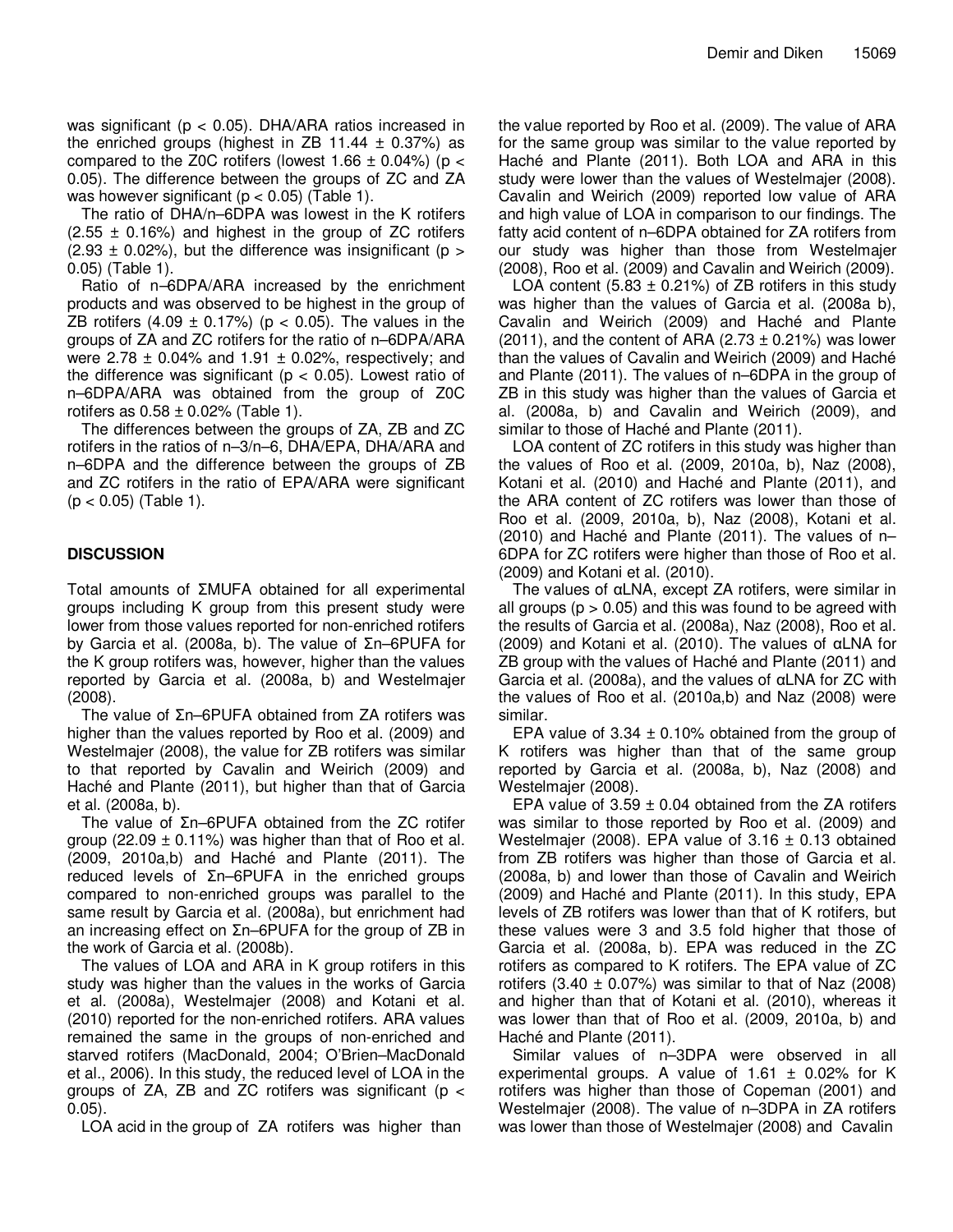was significant ( $p < 0.05$ ). DHA/ARA ratios increased in the enriched groups (highest in ZB 11.44  $\pm$  0.37%) as compared to the Z0C rotifers (lowest  $1.66 \pm 0.04\%$ ) (p < 0.05). The difference between the groups of ZC and ZA was however significant ( $p < 0.05$ ) (Table 1).

The ratio of DHA/n–6DPA was lowest in the K rotifers  $(2.55 \pm 0.16\%)$  and highest in the group of ZC rotifers  $(2.93 \pm 0.02\%)$ , but the difference was insignificant (p > 0.05) (Table 1).

Ratio of n–6DPA/ARA increased by the enrichment products and was observed to be highest in the group of ZB rotifers  $(4.09 \pm 0.17%)$  (p < 0.05). The values in the groups of ZA and ZC rotifers for the ratio of n–6DPA/ARA were 2.78  $\pm$  0.04% and 1.91  $\pm$  0.02%, respectively; and the difference was significant ( $p < 0.05$ ). Lowest ratio of n–6DPA/ARA was obtained from the group of Z0C rotifers as  $0.58 \pm 0.02$ % (Table 1).

The differences between the groups of ZA, ZB and ZC rotifers in the ratios of n–3/n–6, DHA/EPA, DHA/ARA and n–6DPA and the difference between the groups of ZB and ZC rotifers in the ratio of EPA/ARA were significant  $(p < 0.05)$  (Table 1).

## **DISCUSSION**

Total amounts of ΣMUFA obtained for all experimental groups including K group from this present study were lower from those values reported for non-enriched rotifers by Garcia et al. (2008a, b). The value of Σn–6PUFA for the K group rotifers was, however, higher than the values reported by Garcia et al. (2008a, b) and Westelmajer (2008).

The value of Σn–6PUFA obtained from ZA rotifers was higher than the values reported by Roo et al. (2009) and Westelmajer (2008), the value for ZB rotifers was similar to that reported by Cavalin and Weirich (2009) and Haché and Plante (2011), but higher than that of Garcia et al. (2008a, b).

The value of Σn–6PUFA obtained from the ZC rotifer group (22.09  $\pm$  0.11%) was higher than that of Roo et al. (2009, 2010a,b) and Haché and Plante (2011). The reduced levels of Σn–6PUFA in the enriched groups compared to non-enriched groups was parallel to the same result by Garcia et al. (2008a), but enrichment had an increasing effect on Σn–6PUFA for the group of ZB in the work of Garcia et al. (2008b).

The values of LOA and ARA in K group rotifers in this study was higher than the values in the works of Garcia et al. (2008a), Westelmajer (2008) and Kotani et al. (2010) reported for the non-enriched rotifers. ARA values remained the same in the groups of non-enriched and starved rotifers (MacDonald, 2004; O'Brien–MacDonald et al., 2006). In this study, the reduced level of LOA in the groups of ZA, ZB and ZC rotifers was significant ( $p <$ 0.05).

LOA acid in the group of ZA rotifers was higher than

the value reported by Roo et al. (2009). The value of ARA for the same group was similar to the value reported by Haché and Plante (2011). Both LOA and ARA in this study were lower than the values of Westelmajer (2008). Cavalin and Weirich (2009) reported low value of ARA and high value of LOA in comparison to our findings. The fatty acid content of n–6DPA obtained for ZA rotifers from our study was higher than those from Westelmajer (2008), Roo et al. (2009) and Cavalin and Weirich (2009).

LOA content  $(5.83 \pm 0.21\%)$  of ZB rotifers in this study was higher than the values of Garcia et al. (2008a b), Cavalin and Weirich (2009) and Haché and Plante (2011), and the content of ARA (2.73  $\pm$  0.21%) was lower than the values of Cavalin and Weirich (2009) and Haché and Plante (2011). The values of n–6DPA in the group of ZB in this study was higher than the values of Garcia et al. (2008a, b) and Cavalin and Weirich (2009), and similar to those of Haché and Plante (2011).

LOA content of ZC rotifers in this study was higher than the values of Roo et al. (2009, 2010a, b), Naz (2008), Kotani et al. (2010) and Haché and Plante (2011), and the ARA content of ZC rotifers was lower than those of Roo et al. (2009, 2010a, b), Naz (2008), Kotani et al. (2010) and Haché and Plante (2011). The values of n– 6DPA for ZC rotifers were higher than those of Roo et al. (2009) and Kotani et al. (2010).

The values of αLNA, except ZA rotifers, were similar in all groups ( $p > 0.05$ ) and this was found to be agreed with the results of Garcia et al. (2008a), Naz (2008), Roo et al. (2009) and Kotani et al. (2010). The values of αLNA for ZB group with the values of Haché and Plante (2011) and Garcia et al. (2008a), and the values of αLNA for ZC with the values of Roo et al. (2010a,b) and Naz (2008) were similar.

EPA value of  $3.34 \pm 0.10\%$  obtained from the group of K rotifers was higher than that of the same group reported by Garcia et al. (2008a, b), Naz (2008) and Westelmajer (2008).

EPA value of  $3.59 \pm 0.04$  obtained from the ZA rotifers was similar to those reported by Roo et al. (2009) and Westelmajer (2008). EPA value of  $3.16 \pm 0.13$  obtained from ZB rotifers was higher than those of Garcia et al. (2008a, b) and lower than those of Cavalin and Weirich (2009) and Haché and Plante (2011). In this study, EPA levels of ZB rotifers was lower than that of K rotifers, but these values were 3 and 3.5 fold higher that those of Garcia et al. (2008a, b). EPA was reduced in the ZC rotifers as compared to K rotifers. The EPA value of ZC rotifers  $(3.40 \pm 0.07\%)$  was similar to that of Naz (2008) and higher than that of Kotani et al. (2010), whereas it was lower than that of Roo et al. (2009, 2010a, b) and Haché and Plante (2011).

Similar values of n–3DPA were observed in all experimental groups. A value of  $1.61 \pm 0.02\%$  for K rotifers was higher than those of Copeman (2001) and Westelmajer (2008). The value of n–3DPA in ZA rotifers was lower than those of Westelmajer (2008) and Cavalin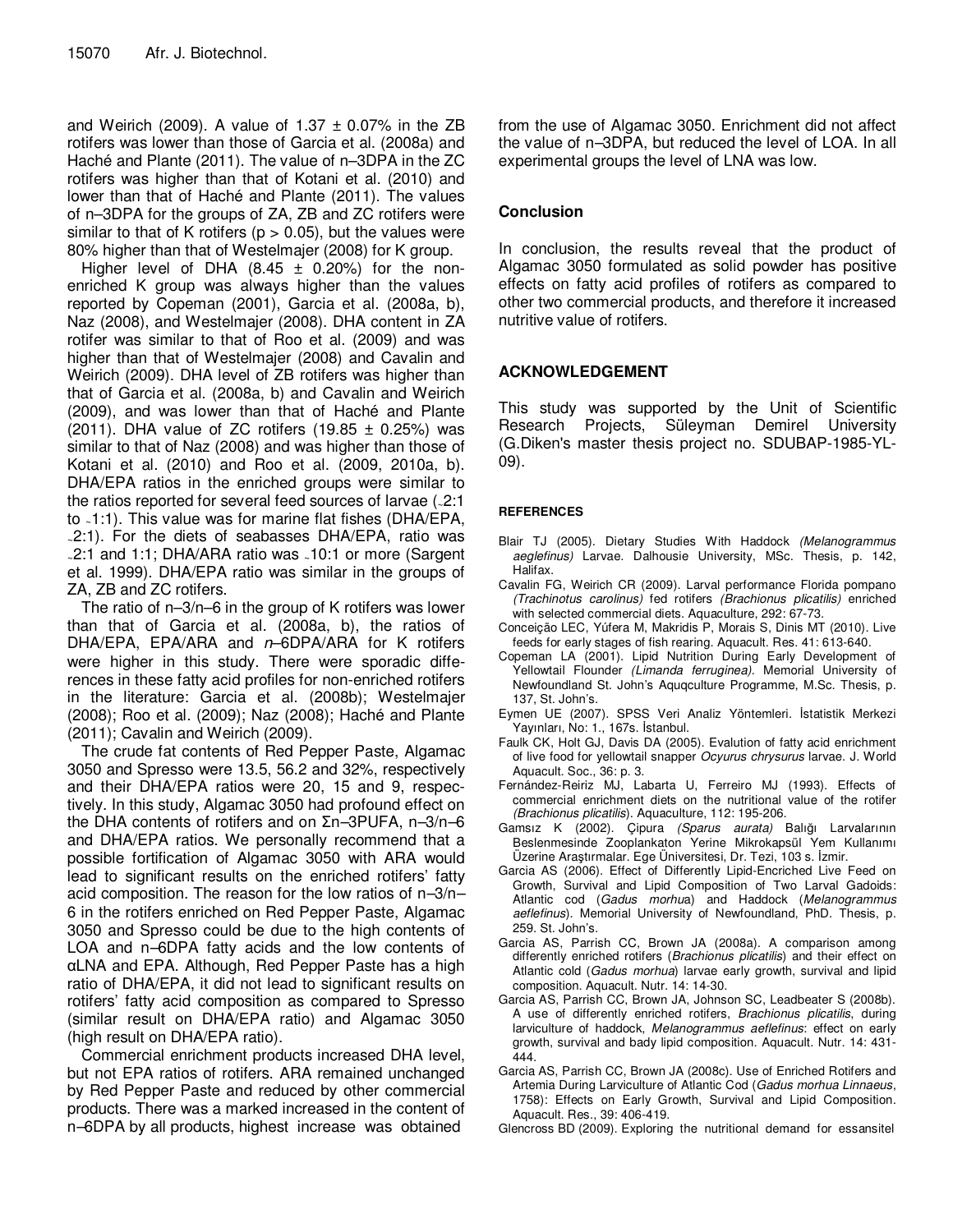and Weirich (2009). A value of  $1.37 \pm 0.07\%$  in the ZB rotifers was lower than those of Garcia et al. (2008a) and Haché and Plante (2011). The value of n–3DPA in the ZC rotifers was higher than that of Kotani et al. (2010) and lower than that of Haché and Plante (2011). The values of n–3DPA for the groups of ZA, ZB and ZC rotifers were similar to that of K rotifers ( $p > 0.05$ ), but the values were 80% higher than that of Westelmajer (2008) for K group.

Higher level of DHA  $(8.45 \pm 0.20\%)$  for the nonenriched K group was always higher than the values reported by Copeman (2001), Garcia et al. (2008a, b), Naz (2008), and Westelmajer (2008). DHA content in ZA rotifer was similar to that of Roo et al. (2009) and was higher than that of Westelmajer (2008) and Cavalin and Weirich (2009). DHA level of ZB rotifers was higher than that of Garcia et al. (2008a, b) and Cavalin and Weirich (2009), and was lower than that of Haché and Plante (2011). DHA value of ZC rotifers (19.85  $\pm$  0.25%) was similar to that of Naz (2008) and was higher than those of Kotani et al. (2010) and Roo et al. (2009, 2010a, b). DHA/EPA ratios in the enriched groups were similar to the ratios reported for several feed sources of larvae (~2:1 to ~1:1). This value was for marine flat fishes (DHA/EPA, <sup>~</sup>2:1). For the diets of seabasses DHA/EPA, ratio was <sup>~</sup>2:1 and 1:1; DHA/ARA ratio was ~10:1 or more (Sargent et al. 1999). DHA/EPA ratio was similar in the groups of ZA, ZB and ZC rotifers.

The ratio of n–3/n–6 in the group of K rotifers was lower than that of Garcia et al. (2008a, b), the ratios of DHA/EPA, EPA/ARA and  $n$ –6DPA/ARA for K rotifers were higher in this study. There were sporadic differences in these fatty acid profiles for non-enriched rotifers in the literature: Garcia et al. (2008b); Westelmajer (2008); Roo et al. (2009); Naz (2008); Haché and Plante (2011); Cavalin and Weirich (2009).

The crude fat contents of Red Pepper Paste, Algamac 3050 and Spresso were 13.5, 56.2 and 32%, respectively and their DHA/EPA ratios were 20, 15 and 9, respectively. In this study, Algamac 3050 had profound effect on the DHA contents of rotifers and on Σn–3PUFA, n–3/n–6 and DHA/EPA ratios. We personally recommend that a possible fortification of Algamac 3050 with ARA would lead to significant results on the enriched rotifers' fatty acid composition. The reason for the low ratios of n–3/n– 6 in the rotifers enriched on Red Pepper Paste, Algamac 3050 and Spresso could be due to the high contents of LOA and n–6DPA fatty acids and the low contents of αLNA and EPA. Although, Red Pepper Paste has a high ratio of DHA/EPA, it did not lead to significant results on rotifers' fatty acid composition as compared to Spresso (similar result on DHA/EPA ratio) and Algamac 3050 (high result on DHA/EPA ratio).

Commercial enrichment products increased DHA level, but not EPA ratios of rotifers. ARA remained unchanged by Red Pepper Paste and reduced by other commercial products. There was a marked increased in the content of n–6DPA by all products, highest increase was obtained

from the use of Algamac 3050. Enrichment did not affect the value of n–3DPA, but reduced the level of LOA. In all experimental groups the level of LNA was low.

## **Conclusion**

In conclusion, the results reveal that the product of Algamac 3050 formulated as solid powder has positive effects on fatty acid profiles of rotifers as compared to other two commercial products, and therefore it increased nutritive value of rotifers.

## **ACKNOWLEDGEMENT**

This study was supported by the Unit of Scientific Research Projects, Süleyman Demirel University (G.Diken's master thesis project no. SDUBAP-1985-YL-09).

## **REFERENCES**

- Blair TJ (2005). Dietary Studies With Haddock (Melanogrammus aeglefinus) Larvae. Dalhousie University, MSc. Thesis, p. 142, Halifax.
- Cavalin FG, Weirich CR (2009). Larval performance Florida pompano (Trachinotus carolinus) fed rotifers (Brachionus plicatilis) enriched with selected commercial diets. Aquaculture, 292: 67-73.
- Conceição LEC, Yúfera M, Makridis P, Morais S, Dinis MT (2010). Live feeds for early stages of fish rearing. Aquacult. Res. 41: 613-640.
- Copeman LA (2001). Lipid Nutrition During Early Development of Yellowtail Flounder (Limanda ferruginea). Memorial University of Newfoundland St. John's Aquqculture Programme, M.Sc. Thesis, p. 137, St. John's.
- Eymen UE (2007). SPSS Veri Analiz Yöntemleri. İstatistik Merkezi Yayınları, No: 1., 167s. İstanbul.
- Faulk CK, Holt GJ, Davis DA (2005). Evalution of fatty acid enrichment of live food for yellowtail snapper Ocyurus chrysurus larvae. J. World Aquacult. Soc., 36: p. 3.
- Fernández-Reiriz MJ, Labarta U, Ferreiro MJ (1993). Effects of commercial enrichment diets on the nutritional value of the rotifer (Brachionus plicatilis). Aquaculture, 112: 195-206.
- Gamsız K (2002). Çipura (Sparus aurata) Balığı Larvalarının Beslenmesinde Zooplankaton Yerine Mikrokapsül Yem Kullanımı Üzerine Araştırmalar. Ege Üniversitesi, Dr. Tezi, 103 s. İzmir.
- Garcia AS (2006). Effect of Differently Lipid-Encriched Live Feed on Growth, Survival and Lipid Composition of Two Larval Gadoids: Atlantic cod (Gadus morhua) and Haddock (Melanogrammus aeflefinus). Memorial University of Newfoundland, PhD. Thesis, p. 259. St. John's.
- Garcia AS, Parrish CC, Brown JA (2008a). A comparison among differently enriched rotifers (Brachionus plicatilis) and their effect on Atlantic cold (Gadus morhua) larvae early growth, survival and lipid composition. Aquacult. Nutr. 14: 14-30.
- Garcia AS, Parrish CC, Brown JA, Johnson SC, Leadbeater S (2008b). A use of differently enriched rotifers, Brachionus plicatilis, during larviculture of haddock, Melanogrammus aeflefinus: effect on early growth, survival and bady lipid composition. Aquacult. Nutr. 14: 431- 444.
- Garcia AS, Parrish CC, Brown JA (2008c). Use of Enriched Rotifers and Artemia During Larviculture of Atlantic Cod (Gadus morhua Linnaeus, 1758): Effects on Early Growth, Survival and Lipid Composition. Aquacult. Res., 39: 406-419.
- Glencross BD (2009). Exploring the nutritional demand for essansitel